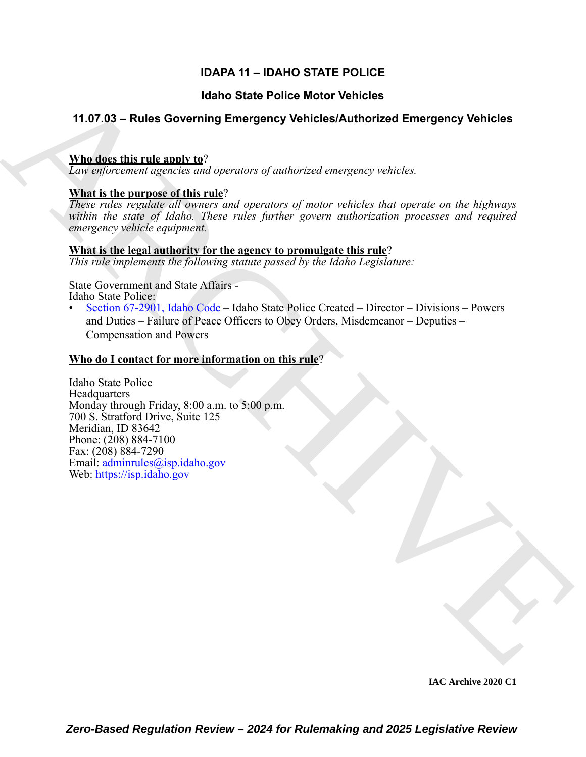# **IDAPA 11 – IDAHO STATE POLICE**

# **Idaho State Police Motor Vehicles**

# **11.07.03 – Rules Governing Emergency Vehicles/Authorized Emergency Vehicles**

# **Who does this rule apply to**?

*Law enforcement agencies and operators of authorized emergency vehicles.*

# **What is the purpose of this rule**?

*These rules regulate all owners and operators of motor vehicles that operate on the highways within the state of Idaho. These rules further govern authorization processes and required emergency vehicle equipment.*

### **What is the legal authority for the agency to promulgate this rule**?

*This rule implements the following statute passed by the Idaho Legislature:*

State Government and State Affairs - Idaho State Police:

• Section 67-2901, Idaho Code – Idaho State Police Created – Director – Divisions – Powers and Duties – Failure of Peace Officers to Obey Orders, Misdemeanor – Deputies – Compensation and Powers

# **Who do I contact for more information on this rule**?

tdano State Police Motor Vehicles<br>
11.07.03 - Rules Governing Emergency Vehicles/Authorized Emergency Vehicles<br>
What dest this transport and this range of motorcolonical corresponses which<br> *The suppose of industries of m* Idaho State Police Headquarters Monday through Friday, 8:00 a.m. to 5:00 p.m. 700 S. Stratford Drive, Suite 125 Meridian, ID 83642 Phone: (208) 884-7100 Fax: (208) 884-7290 Email: adminrules@isp.idaho.gov Web: https://isp.idaho.gov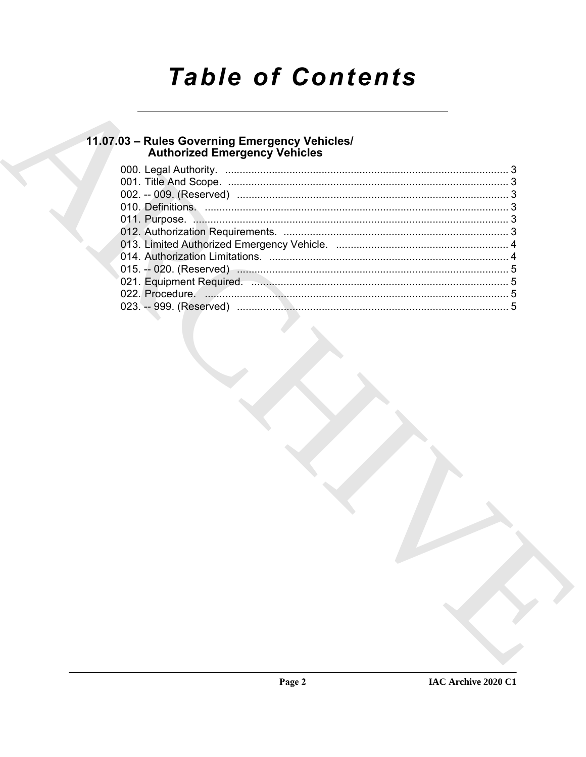# **Table of Contents**

# 11.07.03 - Rules Governing Emergency Vehicles/<br>Authorized Emergency Vehicles

| 021. Equipment Required. The Committee Committee Committee Committee Committee Committee Committee Committee C |  |
|----------------------------------------------------------------------------------------------------------------|--|
|                                                                                                                |  |
|                                                                                                                |  |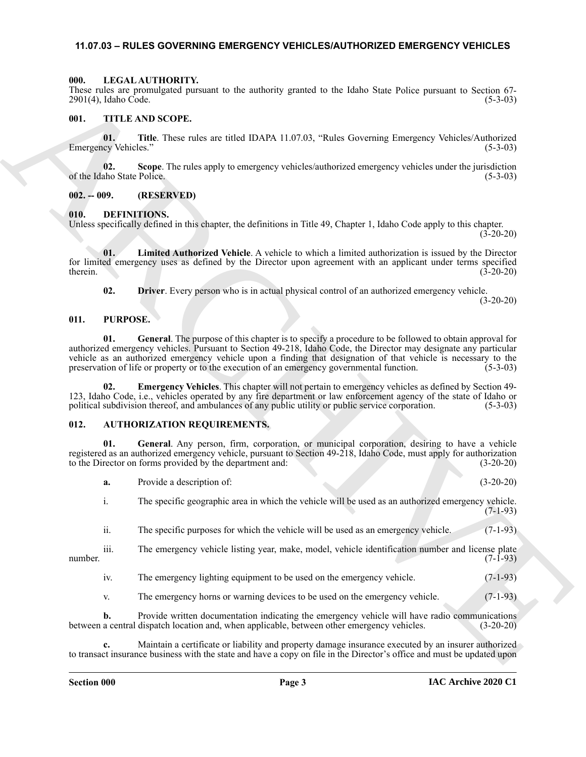#### <span id="page-2-0"></span>**11.07.03 – RULES GOVERNING EMERGENCY VEHICLES/AUTHORIZED EMERGENCY VEHICLES**

#### <span id="page-2-12"></span><span id="page-2-1"></span>**000. LEGAL AUTHORITY.**

#### <span id="page-2-16"></span><span id="page-2-2"></span>**001. TITLE AND SCOPE.**

#### <span id="page-2-3"></span>**002. -- 009. (RESERVED)**

#### <span id="page-2-11"></span><span id="page-2-9"></span><span id="page-2-4"></span>**010. DEFINITIONS.**

#### <span id="page-2-15"></span><span id="page-2-13"></span><span id="page-2-10"></span><span id="page-2-5"></span>**011. PURPOSE.**

#### <span id="page-2-14"></span><span id="page-2-8"></span><span id="page-2-7"></span><span id="page-2-6"></span>**012. AUTHORIZATION REQUIREMENTS.**

|               | 2901(4), Idaho Code.              | These rules are promulgated pursuant to the authority granted to the Idaho State Police pursuant to Section 67-                                                                                                                                                                                                                                                                                                                           | $(5-3-03)$  |
|---------------|-----------------------------------|-------------------------------------------------------------------------------------------------------------------------------------------------------------------------------------------------------------------------------------------------------------------------------------------------------------------------------------------------------------------------------------------------------------------------------------------|-------------|
| 001.          |                                   | TITLE AND SCOPE.                                                                                                                                                                                                                                                                                                                                                                                                                          |             |
|               | 01.<br>Emergency Vehicles."       | Title. These rules are titled IDAPA 11.07.03, "Rules Governing Emergency Vehicles/Authorized                                                                                                                                                                                                                                                                                                                                              | $(5-3-03)$  |
|               | 02.<br>of the Idaho State Police. | Scope. The rules apply to emergency vehicles/authorized emergency vehicles under the jurisdiction                                                                                                                                                                                                                                                                                                                                         | $(5-3-03)$  |
| $002. - 009.$ |                                   | (RESERVED)                                                                                                                                                                                                                                                                                                                                                                                                                                |             |
| 010.          |                                   | DEFINITIONS.<br>Unless specifically defined in this chapter, the definitions in Title 49, Chapter 1, Idaho Code apply to this chapter.                                                                                                                                                                                                                                                                                                    | $(3-20-20)$ |
| therein.      | 01.                               | Limited Authorized Vehicle. A vehicle to which a limited authorization is issued by the Director<br>for limited emergency uses as defined by the Director upon agreement with an applicant under terms specified                                                                                                                                                                                                                          | $(3-20-20)$ |
|               | 02.                               | <b>Driver</b> . Every person who is in actual physical control of an authorized emergency vehicle.                                                                                                                                                                                                                                                                                                                                        | $(3-20-20)$ |
| 011.          | PURPOSE.                          |                                                                                                                                                                                                                                                                                                                                                                                                                                           |             |
|               | 01.                               | General. The purpose of this chapter is to specify a procedure to be followed to obtain approval for<br>authorized emergency vehicles. Pursuant to Section 49-218, Idaho Code, the Director may designate any particular<br>vehicle as an authorized emergency vehicle upon a finding that designation of that vehicle is necessary to the<br>preservation of life or property or to the execution of an emergency governmental function. | $(5-3-03)$  |
|               | 02.                               | <b>Emergency Vehicles.</b> This chapter will not pertain to emergency vehicles as defined by Section 49-<br>123, Idaho Code, i.e., vehicles operated by any fire department or law enforcement agency of the state of Idaho or<br>political subdivision thereof, and ambulances of any public utility or public service corporation.                                                                                                      | $(5-3-03)$  |
| 012.          |                                   | <b>AUTHORIZATION REQUIREMENTS.</b>                                                                                                                                                                                                                                                                                                                                                                                                        |             |
|               | 01.                               | General. Any person, firm, corporation, or municipal corporation, desiring to have a vehicle<br>registered as an authorized emergency vehicle, pursuant to Section 49-218, Idaho Code, must apply for authorization<br>to the Director on forms provided by the department and:                                                                                                                                                           | $(3-20-20)$ |
|               | a.                                | Provide a description of:                                                                                                                                                                                                                                                                                                                                                                                                                 | $(3-20-20)$ |
|               | 1.                                | The specific geographic area in which the vehicle will be used as an authorized emergency vehicle.                                                                                                                                                                                                                                                                                                                                        | $(7-1-93)$  |
|               | ii.                               | The specific purposes for which the vehicle will be used as an emergency vehicle.                                                                                                                                                                                                                                                                                                                                                         | $(7-1-93)$  |
| number.       | iii.                              | The emergency vehicle listing year, make, model, vehicle identification number and license plate                                                                                                                                                                                                                                                                                                                                          | $(7-1-93)$  |
|               | iv.                               | The emergency lighting equipment to be used on the emergency vehicle.                                                                                                                                                                                                                                                                                                                                                                     | $(7-1-93)$  |
|               | V.                                | The emergency horns or warning devices to be used on the emergency vehicle.                                                                                                                                                                                                                                                                                                                                                               | $(7-1-93)$  |
|               | $\mathbf{b}$ .                    | Provide written documentation indicating the emergency vehicle will have radio communications<br>between a central dispatch location and, when applicable, between other emergency vehicles.                                                                                                                                                                                                                                              | $(3-20-20)$ |
|               | c.                                | Maintain a certificate or liability and property damage insurance executed by an insurer authorized<br>to transact insurance business with the state and have a copy on file in the Director's office and must be updated upon                                                                                                                                                                                                            |             |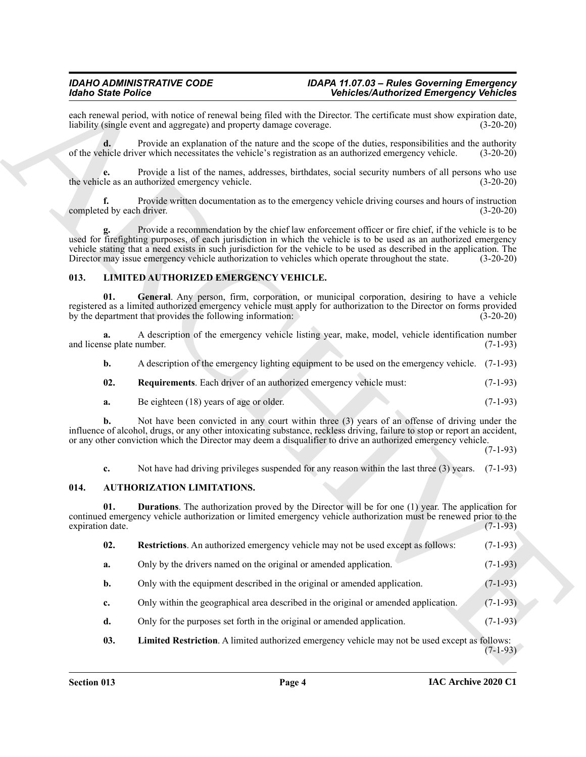#### <span id="page-3-7"></span><span id="page-3-6"></span><span id="page-3-0"></span>**013. LIMITED AUTHORIZED EMERGENCY VEHICLE.**

| b. |  |  | A description of the emergency lighting equipment to be used on the emergency vehicle. (7-1-93) |  |
|----|--|--|-------------------------------------------------------------------------------------------------|--|
|----|--|--|-------------------------------------------------------------------------------------------------|--|

<span id="page-3-8"></span>

| 02. |  | <b>Requirements.</b> Each driver of an authorized emergency vehicle must: | $(7-1-93)$ |
|-----|--|---------------------------------------------------------------------------|------------|
|     |  |                                                                           |            |

#### <span id="page-3-5"></span><span id="page-3-3"></span><span id="page-3-2"></span><span id="page-3-1"></span>**014. AUTHORIZATION LIMITATIONS.**

|                                 | <b>Vehicles/Authorized Emergency Vehicles</b><br><b>Idaho State Police</b>                                                                                                                                                                                                                                                                                                                                                                                  |             |
|---------------------------------|-------------------------------------------------------------------------------------------------------------------------------------------------------------------------------------------------------------------------------------------------------------------------------------------------------------------------------------------------------------------------------------------------------------------------------------------------------------|-------------|
|                                 | each renewal period, with notice of renewal being filed with the Director. The certificate must show expiration date,<br>liability (single event and aggregate) and property damage coverage.                                                                                                                                                                                                                                                               | $(3-20-20)$ |
|                                 | Provide an explanation of the nature and the scope of the duties, responsibilities and the authority<br>of the vehicle driver which necessitates the vehicle's registration as an authorized emergency vehicle.                                                                                                                                                                                                                                             | $(3-20-20)$ |
| е.                              | Provide a list of the names, addresses, birthdates, social security numbers of all persons who use<br>the vehicle as an authorized emergency vehicle.                                                                                                                                                                                                                                                                                                       | $(3-20-20)$ |
| f.<br>completed by each driver. | Provide written documentation as to the emergency vehicle driving courses and hours of instruction                                                                                                                                                                                                                                                                                                                                                          | $(3-20-20)$ |
|                                 | Provide a recommendation by the chief law enforcement officer or fire chief, if the vehicle is to be<br>used for firefighting purposes, of each jurisdiction in which the vehicle is to be used as an authorized emergency<br>vehicle stating that a need exists in such jurisdiction for the vehicle to be used as described in the application. The<br>Director may issue emergency vehicle authorization to vehicles which operate throughout the state. | $(3-20-20)$ |
| 013.                            | LIMITED AUTHORIZED EMERGENCY VEHICLE.                                                                                                                                                                                                                                                                                                                                                                                                                       |             |
| 01.                             | General. Any person, firm, corporation, or municipal corporation, desiring to have a vehicle<br>registered as a limited authorized emergency vehicle must apply for authorization to the Director on forms provided<br>by the department that provides the following information:                                                                                                                                                                           | $(3-20-20)$ |
| a.<br>and license plate number. | A description of the emergency vehicle listing year, make, model, vehicle identification number                                                                                                                                                                                                                                                                                                                                                             | $(7-1-93)$  |
| b.                              | A description of the emergency lighting equipment to be used on the emergency vehicle. (7-1-93)                                                                                                                                                                                                                                                                                                                                                             |             |
| 02.                             | Requirements. Each driver of an authorized emergency vehicle must:                                                                                                                                                                                                                                                                                                                                                                                          | $(7-1-93)$  |
| a.                              | Be eighteen (18) years of age or older.                                                                                                                                                                                                                                                                                                                                                                                                                     | $(7-1-93)$  |
| b.                              | Not have been convicted in any court within three (3) years of an offense of driving under the<br>influence of alcohol, drugs, or any other intoxicating substance, reckless driving, failure to stop or report an accident,<br>or any other conviction which the Director may deem a disqualifier to drive an authorized emergency vehicle.                                                                                                                | $(7-1-93)$  |
| c.                              | Not have had driving privileges suspended for any reason within the last three (3) years.                                                                                                                                                                                                                                                                                                                                                                   | $(7-1-93)$  |
| 014.                            | AUTHORIZATION LIMITATIONS.                                                                                                                                                                                                                                                                                                                                                                                                                                  |             |
| 01.<br>expiration date.         | <b>Durations</b> . The authorization proved by the Director will be for one $(1)$ year. The application for<br>continued emergency vehicle authorization or limited emergency vehicle authorization must be renewed prior to the                                                                                                                                                                                                                            | $(7-1-93)$  |
| 02.                             | Restrictions. An authorized emergency vehicle may not be used except as follows:                                                                                                                                                                                                                                                                                                                                                                            | $(7-1-93)$  |
| a.                              | Only by the drivers named on the original or amended application.                                                                                                                                                                                                                                                                                                                                                                                           | $(7-1-93)$  |
| b.                              | Only with the equipment described in the original or amended application.                                                                                                                                                                                                                                                                                                                                                                                   | $(7-1-93)$  |
| c.                              | Only within the geographical area described in the original or amended application.                                                                                                                                                                                                                                                                                                                                                                         | $(7-1-93)$  |
| d.                              | Only for the purposes set forth in the original or amended application.                                                                                                                                                                                                                                                                                                                                                                                     | $(7-1-93)$  |
|                                 |                                                                                                                                                                                                                                                                                                                                                                                                                                                             |             |

- **d.** Only for the purposes set forth in the original or amended application. (7-1-93)
- <span id="page-3-4"></span>**03. Limited Restriction**. A limited authorized emergency vehicle may not be used except as follows:  $(7-1-93)$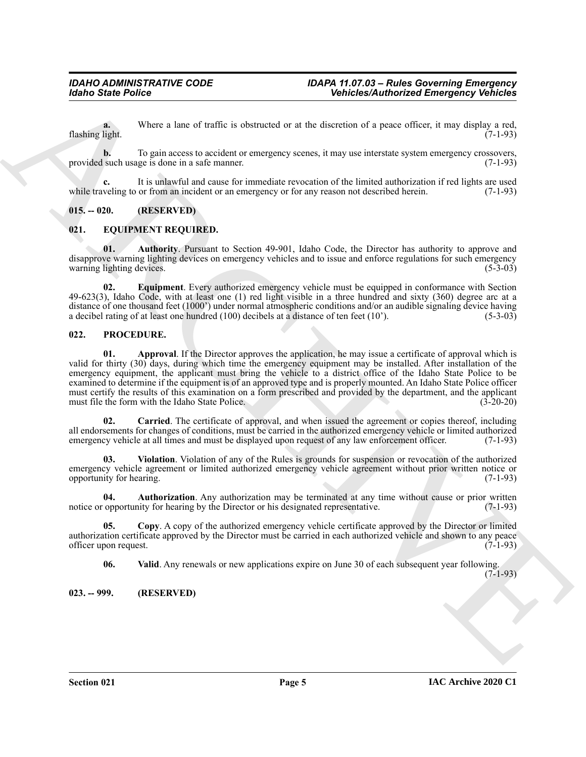**a.** Where a lane of traffic is obstructed or at the discretion of a peace officer, it may display a red, flashing light. (7-1-93)

**b.** To gain access to accident or emergency scenes, it may use interstate system emergency crossovers, provided such usage is done in a safe manner. (7-1-93)

**c.** It is unlawful and cause for immediate revocation of the limited authorization if red lights are used while traveling to or from an incident or an emergency or for any reason not described herein.  $(7-1-93)$ 

#### <span id="page-4-0"></span>**015. -- 020. (RESERVED)**

### <span id="page-4-4"></span><span id="page-4-1"></span>**021. EQUIPMENT REQUIRED.**

<span id="page-4-5"></span>**01. Authority**. Pursuant to Section 49-901, Idaho Code, the Director has authority to approve and disapprove warning lighting devices on emergency vehicles and to issue and enforce regulations for such emergency warning lighting devices. (5-3-03) warning lighting devices.

<span id="page-4-6"></span>**02. Equipment**. Every authorized emergency vehicle must be equipped in conformance with Section 49-623(3), Idaho Code, with at least one (1) red light visible in a three hundred and sixty (360) degree arc at a distance of one thousand feet (1000') under normal atmospheric conditions and/or an audible signaling device having a decibel rating of at least one hundred (100) decibels at a distance of ten feet (10'). a decibel rating of at least one hundred (100) decibels at a distance of ten feet (10').

#### <span id="page-4-8"></span><span id="page-4-7"></span><span id="page-4-2"></span>**022. PROCEDURE.**

Models State Police<br>
Where a has of teaches observed or at the denotion of a point where  $\frac{1}{2}$ <br>
The model of the state of the state of the state of the state of a point where  $\frac{1}{2}$ <br>
provides and the state of the s **01. Approval**. If the Director approves the application, he may issue a certificate of approval which is valid for thirty (30) days, during which time the emergency equipment may be installed. After installation of the emergency equipment, the applicant must bring the vehicle to a district office of the Idaho State Police to be examined to determine if the equipment is of an approved type and is properly mounted. An Idaho State Police officer must certify the results of this examination on a form prescribed and provided by the department, and the applicant must file the form with the Idaho State Police. (3-20-20)

<span id="page-4-10"></span>**02. Carried**. The certificate of approval, and when issued the agreement or copies thereof, including all endorsements for changes of conditions, must be carried in the authorized emergency vehicle or limited authorized emergency vehicle at all times and must be displayed upon request of any law enforcement officer. (7-1-9 emergency vehicle at all times and must be displayed upon request of any law enforcement officer.

<span id="page-4-13"></span>**03. Violation**. Violation of any of the Rules is grounds for suspension or revocation of the authorized emergency vehicle agreement or limited authorized emergency vehicle agreement without prior written notice or opportunity for hearing. (7-1-93)

<span id="page-4-9"></span>**04. Authorization**. Any authorization may be terminated at any time without cause or prior written notice or opportunity for hearing by the Director or his designated representative. (7-1-93)

**05. Copy**. A copy of the authorized emergency vehicle certificate approved by the Director or limited authorization certificate approved by the Director must be carried in each authorized vehicle and shown to any peace officer upon request.

<span id="page-4-12"></span><span id="page-4-11"></span>**06. Valid**. Any renewals or new applications expire on June 30 of each subsequent year following.

 $(7-1-93)$ 

#### <span id="page-4-3"></span>**023. -- 999. (RESERVED)**